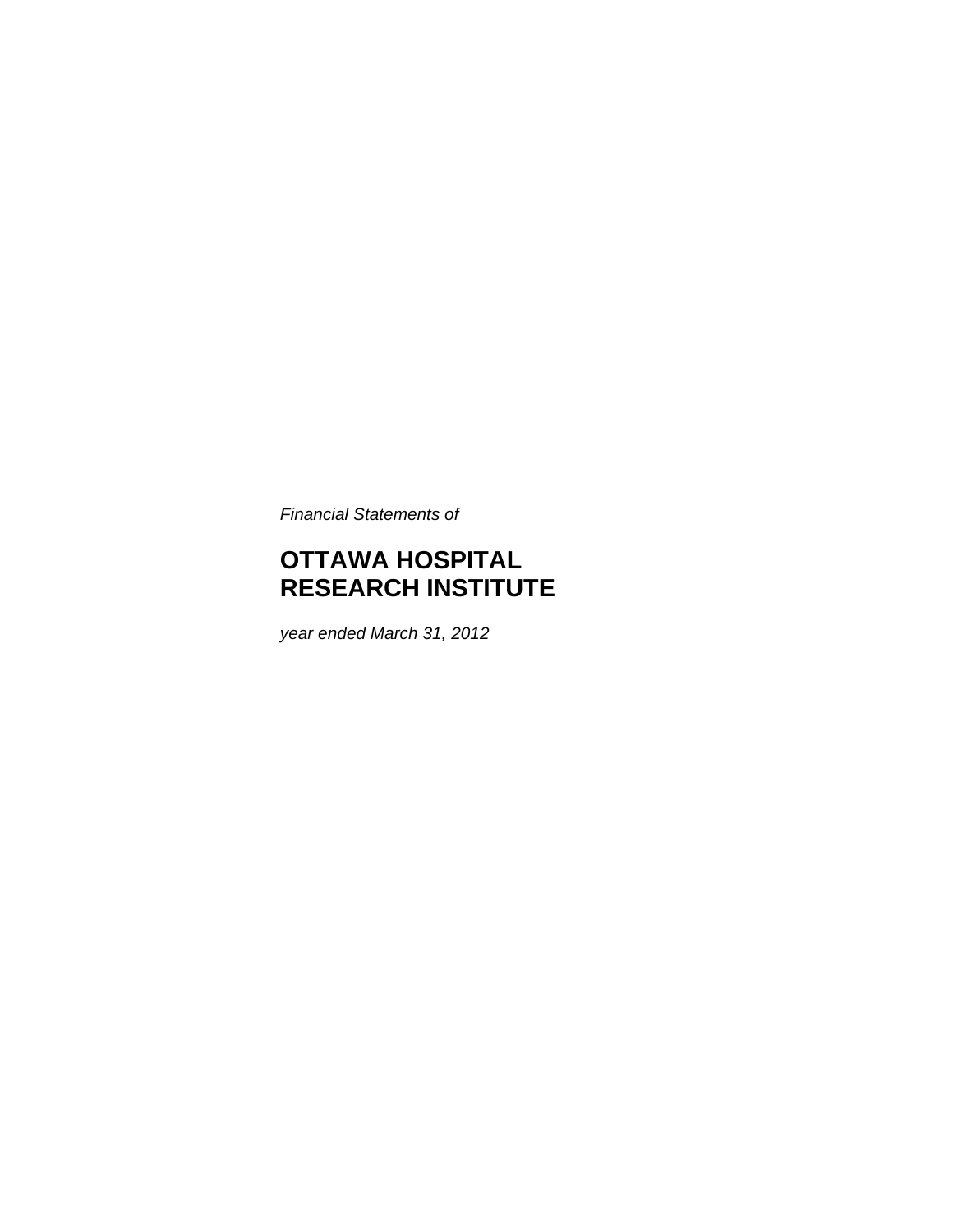*Financial Statements of* 

# **OTTAWA HOSPITAL RESEARCH INSTITUTE**

*year ended March 31, 2012*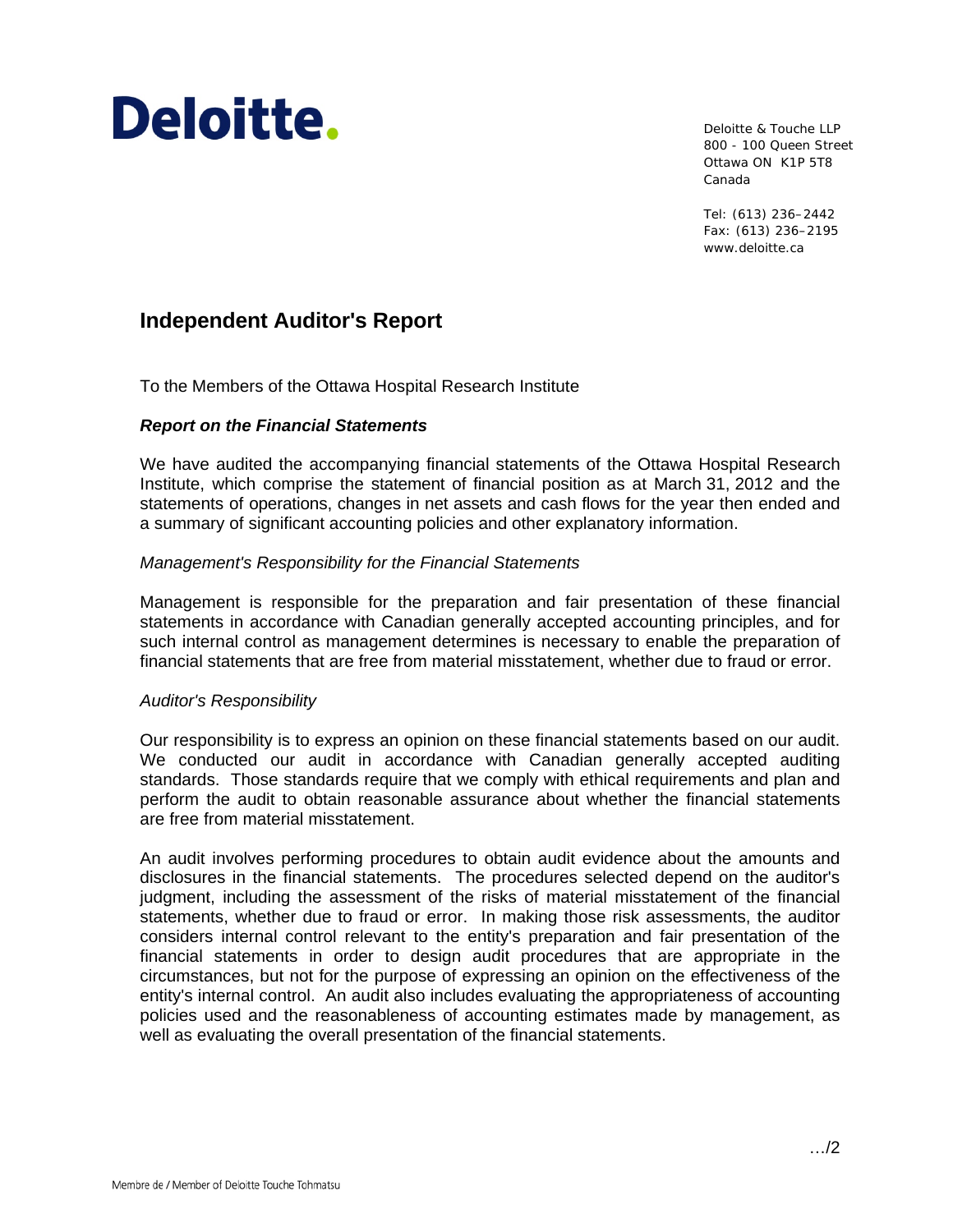# Deloitte.

Deloitte & Touche LLP 800 - 100 Queen Street Ottawa ON K1P 5T8 Canada

Tel: (613) 236–2442 Fax: (613) 236–2195 www.deloitte.ca

# **Independent Auditor's Report**

To the Members of the Ottawa Hospital Research Institute

# *Report on the Financial Statements*

We have audited the accompanying financial statements of the Ottawa Hospital Research Institute, which comprise the statement of financial position as at March 31, 2012 and the statements of operations, changes in net assets and cash flows for the year then ended and a summary of significant accounting policies and other explanatory information.

# *Management's Responsibility for the Financial Statements*

Management is responsible for the preparation and fair presentation of these financial statements in accordance with Canadian generally accepted accounting principles, and for such internal control as management determines is necessary to enable the preparation of financial statements that are free from material misstatement, whether due to fraud or error.

# *Auditor's Responsibility*

Our responsibility is to express an opinion on these financial statements based on our audit. We conducted our audit in accordance with Canadian generally accepted auditing standards. Those standards require that we comply with ethical requirements and plan and perform the audit to obtain reasonable assurance about whether the financial statements are free from material misstatement.

An audit involves performing procedures to obtain audit evidence about the amounts and disclosures in the financial statements. The procedures selected depend on the auditor's judgment, including the assessment of the risks of material misstatement of the financial statements, whether due to fraud or error. In making those risk assessments, the auditor considers internal control relevant to the entity's preparation and fair presentation of the financial statements in order to design audit procedures that are appropriate in the circumstances, but not for the purpose of expressing an opinion on the effectiveness of the entity's internal control. An audit also includes evaluating the appropriateness of accounting policies used and the reasonableness of accounting estimates made by management, as well as evaluating the overall presentation of the financial statements.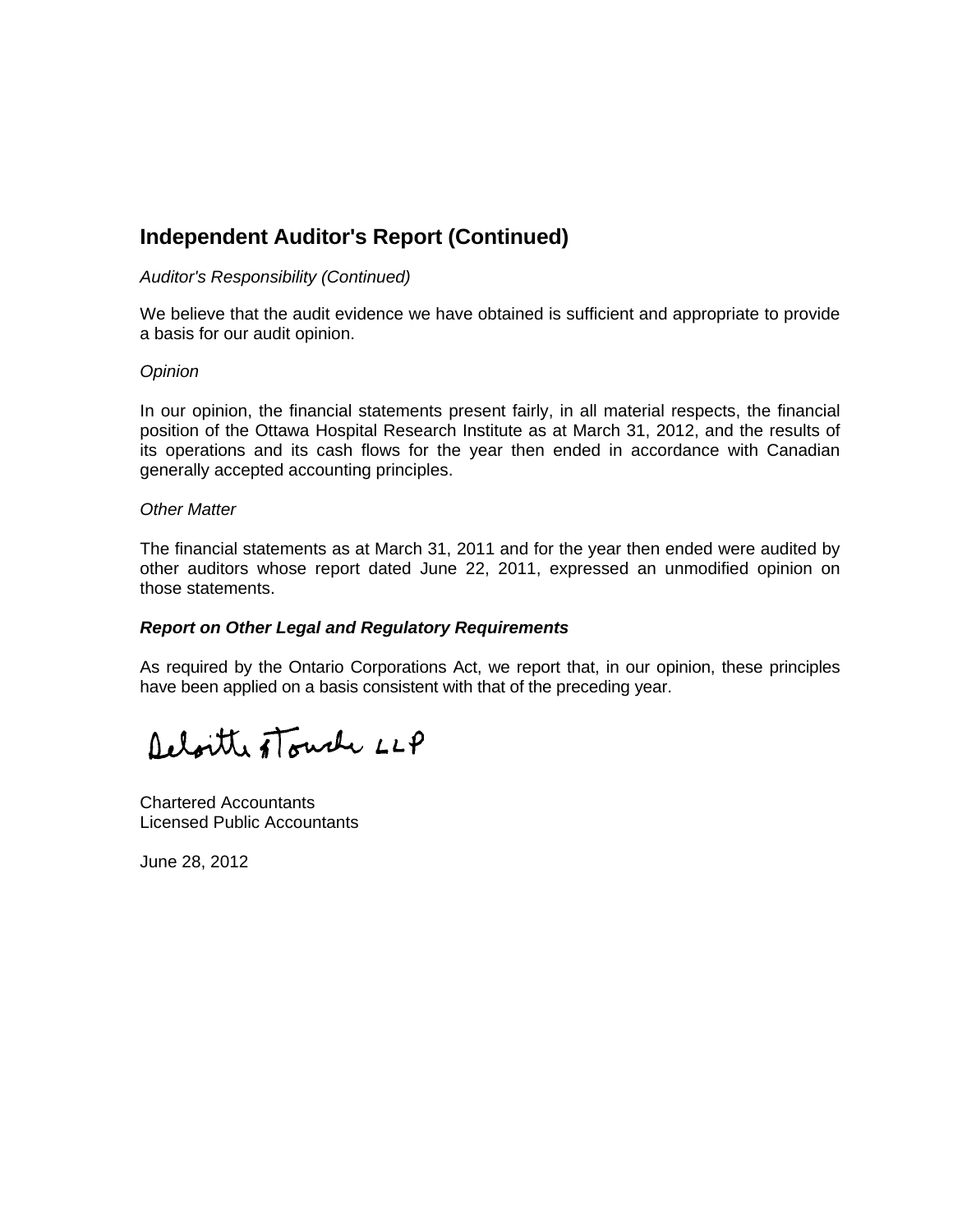# **Independent Auditor's Report (Continued)**

## *Auditor's Responsibility (Continued)*

We believe that the audit evidence we have obtained is sufficient and appropriate to provide a basis for our audit opinion.

#### *Opinion*

In our opinion, the financial statements present fairly, in all material respects, the financial position of the Ottawa Hospital Research Institute as at March 31, 2012, and the results of its operations and its cash flows for the year then ended in accordance with Canadian generally accepted accounting principles.

#### *Other Matter*

The financial statements as at March 31, 2011 and for the year then ended were audited by other auditors whose report dated June 22, 2011, expressed an unmodified opinion on those statements.

# *Report on Other Legal and Regulatory Requirements*

As required by the Ontario Corporations Act, we report that, in our opinion, these principles have been applied on a basis consistent with that of the preceding year.

Deloitte stouche LLP

Chartered Accountants Licensed Public Accountants

June 28, 2012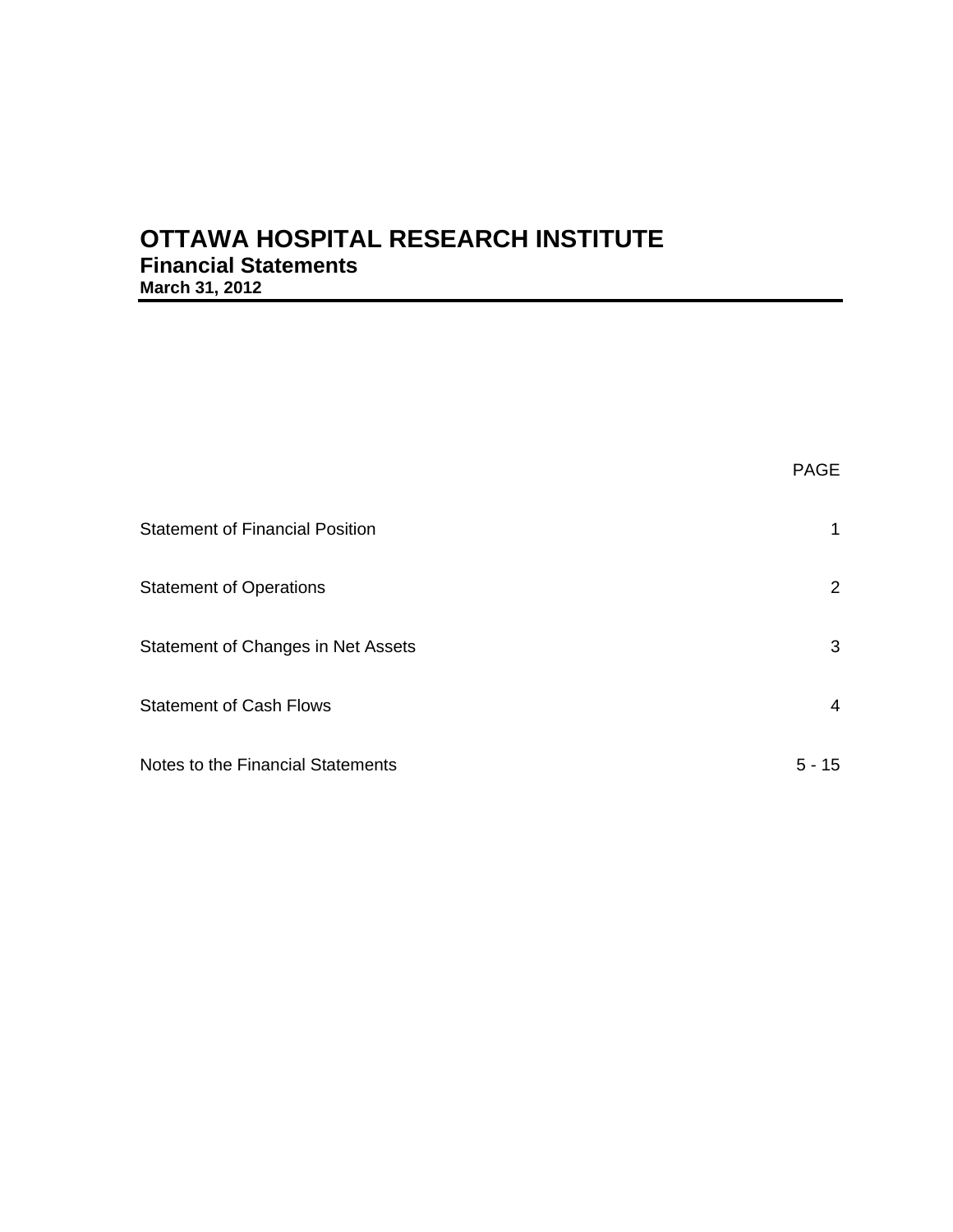# **OTTAWA HOSPITAL RESEARCH INSTITUTE Financial Statements March 31, 2012**

| <b>Statement of Financial Position</b> | 1              |
|----------------------------------------|----------------|
| <b>Statement of Operations</b>         | $\overline{2}$ |
| Statement of Changes in Net Assets     | 3              |
| <b>Statement of Cash Flows</b>         | 4              |
| Notes to the Financial Statements      | 15<br>5 -      |

PAGE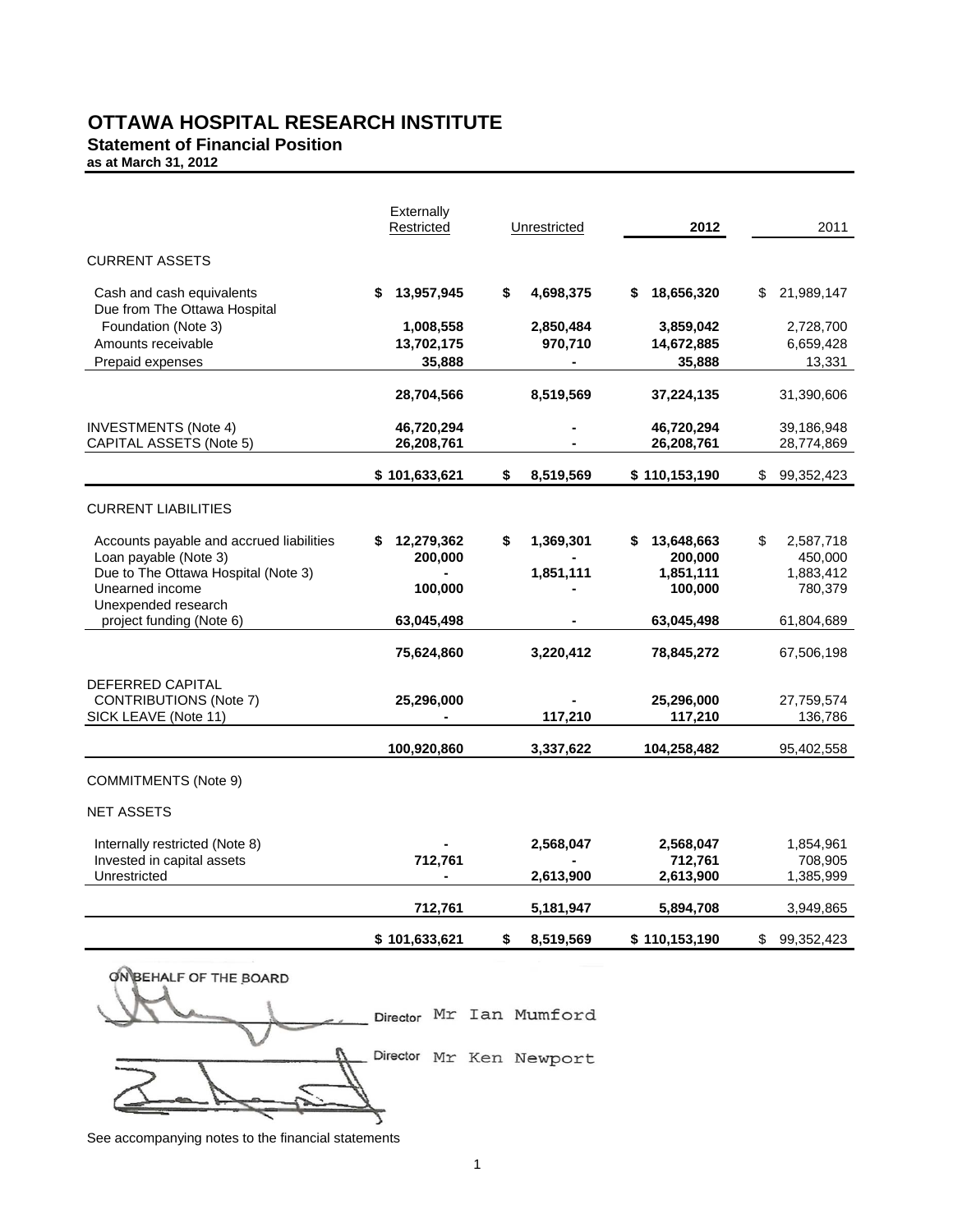# **OTTAWA HOSPITAL RESEARCH INSTITUTE**

**Statement of Financial Position**

**as at March 31, 2012**

|                                                                                                                             | Externally<br>Restricted              | Unrestricted                                       | 2012                                                | 2011                                               |
|-----------------------------------------------------------------------------------------------------------------------------|---------------------------------------|----------------------------------------------------|-----------------------------------------------------|----------------------------------------------------|
| <b>CURRENT ASSETS</b>                                                                                                       |                                       |                                                    |                                                     |                                                    |
| Cash and cash equivalents<br>Due from The Ottawa Hospital                                                                   | \$<br>13,957,945                      | \$<br>4,698,375                                    | 18,656,320<br>S                                     | \$<br>21,989,147                                   |
| Foundation (Note 3)<br>Amounts receivable<br>Prepaid expenses                                                               | 1,008,558<br>13,702,175<br>35,888     | 2,850,484<br>970,710                               | 3,859,042<br>14,672,885<br>35,888                   | 2,728,700<br>6,659,428<br>13,331                   |
|                                                                                                                             | 28,704,566                            | 8,519,569                                          | 37,224,135                                          | 31,390,606                                         |
| <b>INVESTMENTS (Note 4)</b><br>CAPITAL ASSETS (Note 5)                                                                      | 46,720,294<br>26,208,761              |                                                    | 46,720,294<br>26,208,761                            | 39,186,948<br>28,774,869                           |
|                                                                                                                             | \$101,633,621                         | \$<br>8,519,569                                    | \$110,153,190                                       | \$<br>99,352,423                                   |
| <b>CURRENT LIABILITIES</b>                                                                                                  |                                       |                                                    |                                                     |                                                    |
| Accounts payable and accrued liabilities<br>Loan payable (Note 3)<br>Due to The Ottawa Hospital (Note 3)<br>Unearned income | 12,279,362<br>S<br>200,000<br>100,000 | \$<br>1,369,301<br>1,851,111                       | 13,648,663<br>\$<br>200,000<br>1,851,111<br>100,000 | \$<br>2,587,718<br>450,000<br>1,883,412<br>780,379 |
| Unexpended research<br>project funding (Note 6)                                                                             | 63,045,498                            |                                                    | 63,045,498                                          | 61,804,689                                         |
|                                                                                                                             | 75,624,860                            | 3,220,412                                          | 78,845,272                                          | 67,506,198                                         |
| DEFERRED CAPITAL<br><b>CONTRIBUTIONS (Note 7)</b><br>SICK LEAVE (Note 11)                                                   | 25,296,000                            | 117,210                                            | 25,296,000<br>117,210                               | 27,759,574<br>136,786                              |
|                                                                                                                             | 100,920,860                           | 3,337,622                                          | 104,258,482                                         | 95,402,558                                         |
| <b>COMMITMENTS (Note 9)</b>                                                                                                 |                                       |                                                    |                                                     |                                                    |
| <b>NET ASSETS</b>                                                                                                           |                                       |                                                    |                                                     |                                                    |
| Internally restricted (Note 8)<br>Invested in capital assets<br>Unrestricted                                                | 712.761                               | 2,568,047<br>2,613,900                             | 2,568,047<br>712,761<br>2,613,900                   | 1,854,961<br>708,905<br>1,385,999                  |
|                                                                                                                             | 712,761                               | 5,181,947                                          | 5,894,708                                           | 3,949,865                                          |
|                                                                                                                             | \$101,633,621                         | \$<br>8,519,569                                    | \$110,153,190                                       | \$<br>99,352,423                                   |
| ON BEHALF OF THE BOARD                                                                                                      |                                       | Director Mr Ian Mumford<br>Director Mr Ken Newport |                                                     |                                                    |

See accompanying notes to the financial statements

 $\mathcal{S}$  and  $\mathcal{S}$  and  $\mathcal{S}$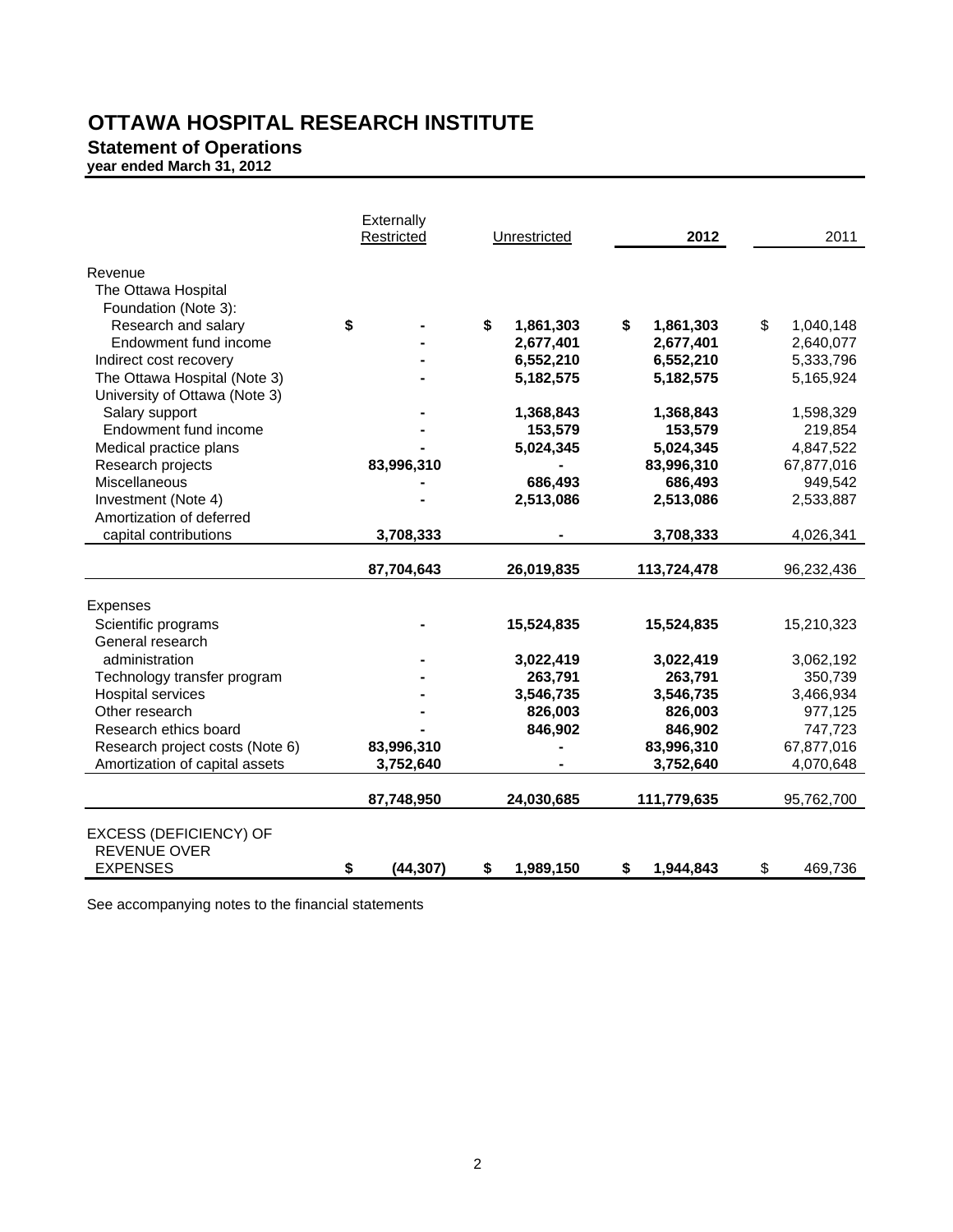# **OTTAWA HOSPITAL RESEARCH INSTITUTE**

**Statement of Operations**

**year ended March 31, 2012** 

|                                        | Externally<br>Restricted | Unrestricted    | 2012            | 2011            |
|----------------------------------------|--------------------------|-----------------|-----------------|-----------------|
| Revenue                                |                          |                 |                 |                 |
| The Ottawa Hospital                    |                          |                 |                 |                 |
| Foundation (Note 3):                   |                          |                 |                 |                 |
| Research and salary                    | \$                       | \$<br>1,861,303 | \$<br>1,861,303 | \$<br>1,040,148 |
| Endowment fund income                  |                          | 2,677,401       | 2,677,401       | 2,640,077       |
| Indirect cost recovery                 |                          | 6,552,210       | 6,552,210       | 5,333,796       |
| The Ottawa Hospital (Note 3)           |                          | 5,182,575       | 5,182,575       | 5,165,924       |
| University of Ottawa (Note 3)          |                          |                 |                 |                 |
| Salary support                         |                          | 1,368,843       | 1,368,843       | 1,598,329       |
| Endowment fund income                  |                          | 153,579         | 153,579         | 219,854         |
| Medical practice plans                 |                          | 5,024,345       | 5,024,345       | 4,847,522       |
| Research projects                      | 83,996,310               |                 | 83,996,310      | 67,877,016      |
| Miscellaneous                          |                          | 686,493         | 686,493         | 949,542         |
| Investment (Note 4)                    |                          | 2,513,086       | 2,513,086       | 2,533,887       |
| Amortization of deferred               |                          |                 |                 |                 |
| capital contributions                  | 3,708,333                |                 | 3,708,333       | 4,026,341       |
|                                        | 87,704,643               | 26,019,835      | 113,724,478     | 96,232,436      |
| <b>Expenses</b>                        |                          |                 |                 |                 |
| Scientific programs                    |                          | 15,524,835      | 15,524,835      | 15,210,323      |
| General research                       |                          |                 |                 |                 |
| administration                         |                          | 3,022,419       | 3,022,419       | 3,062,192       |
| Technology transfer program            |                          | 263,791         | 263,791         | 350,739         |
| <b>Hospital services</b>               |                          | 3,546,735       | 3,546,735       | 3,466,934       |
| Other research                         |                          | 826,003         | 826,003         | 977,125         |
| Research ethics board                  |                          | 846,902         | 846,902         | 747,723         |
| Research project costs (Note 6)        | 83,996,310               |                 | 83,996,310      | 67,877,016      |
| Amortization of capital assets         | 3,752,640                |                 | 3,752,640       | 4,070,648       |
|                                        |                          |                 |                 |                 |
|                                        | 87,748,950               | 24,030,685      | 111,779,635     | 95,762,700      |
|                                        |                          |                 |                 |                 |
| EXCESS (DEFICIENCY) OF<br>REVENUE OVER |                          |                 |                 |                 |
| <b>EXPENSES</b>                        | \$<br>(44, 307)          | \$<br>1,989,150 | \$<br>1,944,843 | \$<br>469,736   |

See accompanying notes to the financial statements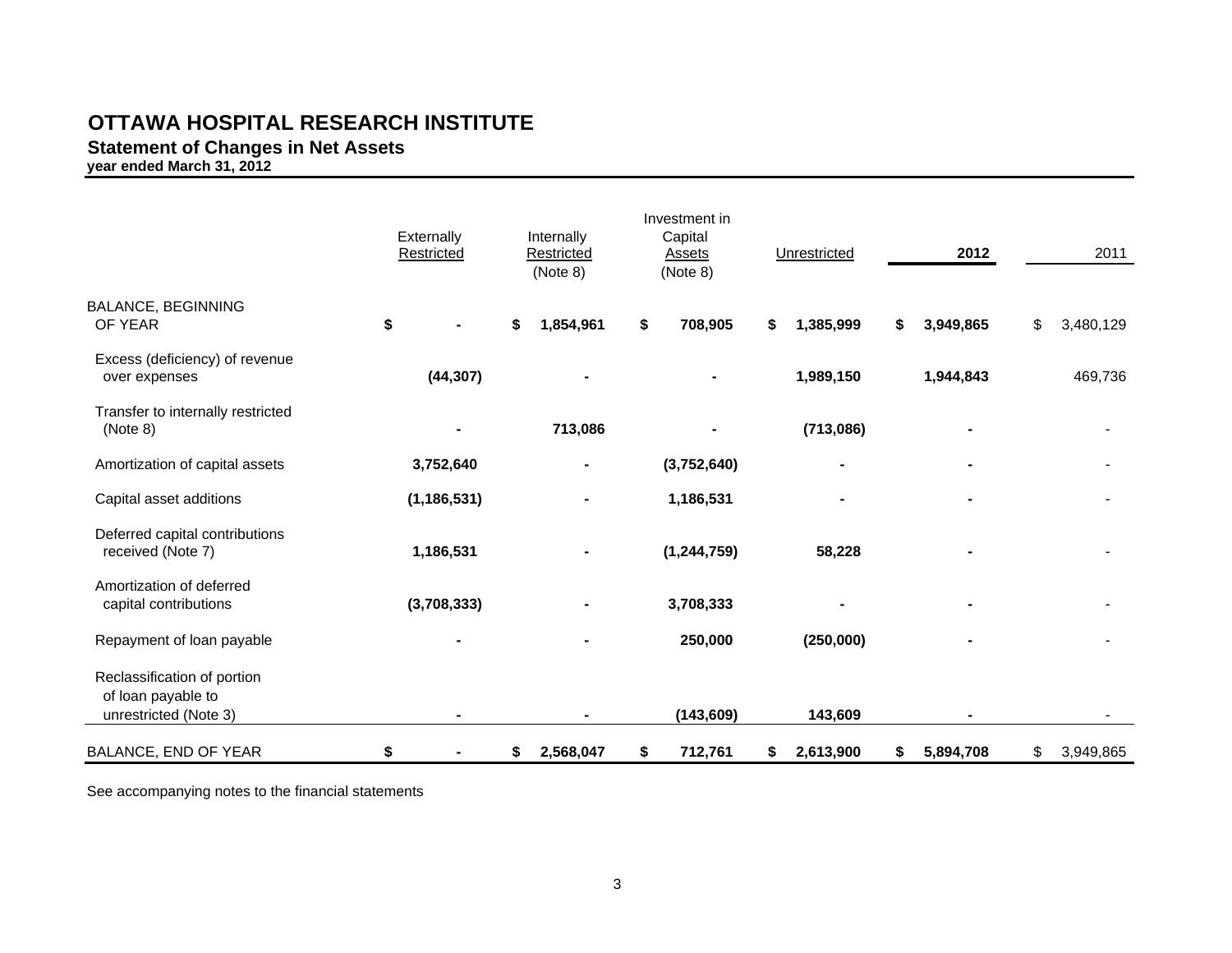# **OTTAWA HOSPITAL RESEARCH INSTITUTE**

#### **Statement of Changes in Net Assets**

**year ended March 31, 2012**

|                                                                            | Externally<br>Restricted | Internally<br>Restricted<br>(Note 8) | Investment in<br>Capital<br><b>Assets</b><br>(Note 8) | Unrestricted    |    | 2012      | 2011            |
|----------------------------------------------------------------------------|--------------------------|--------------------------------------|-------------------------------------------------------|-----------------|----|-----------|-----------------|
| <b>BALANCE, BEGINNING</b><br>OF YEAR                                       | \$                       | 1,854,961<br>\$                      | \$<br>708,905                                         | 1,385,999<br>\$ | S. | 3,949,865 | \$<br>3,480,129 |
| Excess (deficiency) of revenue<br>over expenses                            | (44, 307)                |                                      |                                                       | 1,989,150       |    | 1,944,843 | 469,736         |
| Transfer to internally restricted<br>(Note 8)                              |                          | 713,086                              |                                                       | (713,086)       |    |           |                 |
| Amortization of capital assets                                             | 3,752,640                |                                      | (3,752,640)                                           |                 |    |           |                 |
| Capital asset additions                                                    | (1, 186, 531)            |                                      | 1,186,531                                             |                 |    |           |                 |
| Deferred capital contributions<br>received (Note 7)                        | 1,186,531                |                                      | (1, 244, 759)                                         | 58,228          |    |           |                 |
| Amortization of deferred<br>capital contributions                          | (3,708,333)              |                                      | 3,708,333                                             |                 |    |           |                 |
| Repayment of loan payable                                                  |                          |                                      | 250,000                                               | (250,000)       |    |           |                 |
| Reclassification of portion<br>of loan payable to<br>unrestricted (Note 3) |                          |                                      | (143, 609)                                            | 143,609         |    |           |                 |
| <b>BALANCE, END OF YEAR</b>                                                | \$                       | 2,568,047<br>\$                      | 712,761<br>\$                                         | 2,613,900<br>\$ | S  | 5,894,708 | \$<br>3,949,865 |

See accompanying notes to the financial statements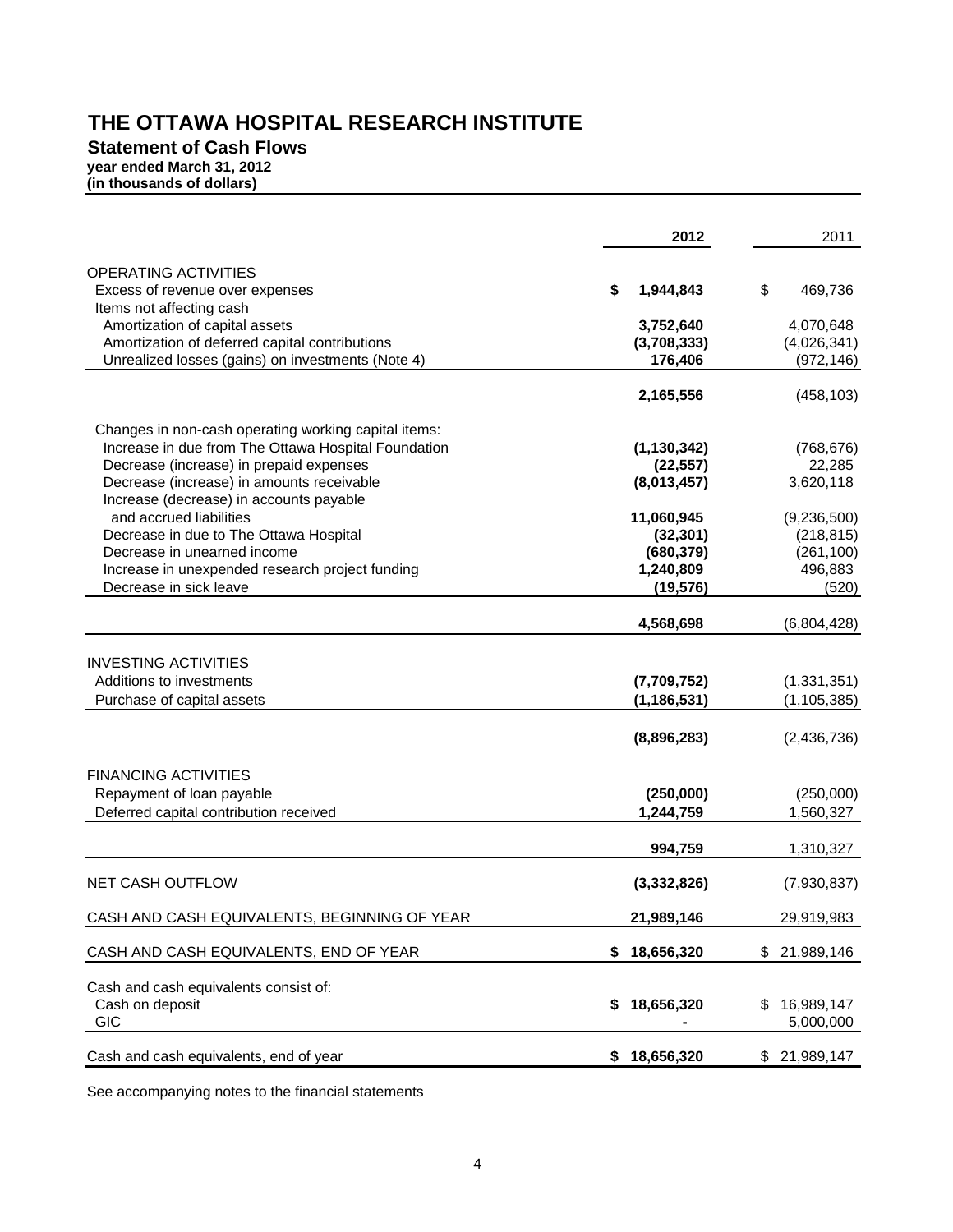# **THE OTTAWA HOSPITAL RESEARCH INSTITUTE**

**Statement of Cash Flows**

**year ended March 31, 2012**

**(in thousands of dollars)**

|                                                      | 2012             | 2011             |
|------------------------------------------------------|------------------|------------------|
| <b>OPERATING ACTIVITIES</b>                          |                  |                  |
| Excess of revenue over expenses                      | 1,944,843<br>\$  | \$<br>469,736    |
| Items not affecting cash                             |                  |                  |
| Amortization of capital assets                       | 3,752,640        | 4,070,648        |
| Amortization of deferred capital contributions       | (3,708,333)      | (4,026,341)      |
| Unrealized losses (gains) on investments (Note 4)    | 176,406          | (972, 146)       |
|                                                      | 2,165,556        | (458, 103)       |
| Changes in non-cash operating working capital items: |                  |                  |
| Increase in due from The Ottawa Hospital Foundation  | (1, 130, 342)    | (768, 676)       |
| Decrease (increase) in prepaid expenses              | (22, 557)        | 22,285           |
| Decrease (increase) in amounts receivable            | (8,013,457)      | 3,620,118        |
| Increase (decrease) in accounts payable              |                  |                  |
| and accrued liabilities                              | 11,060,945       | (9,236,500)      |
| Decrease in due to The Ottawa Hospital               | (32, 301)        | (218, 815)       |
| Decrease in unearned income                          | (680, 379)       | (261, 100)       |
| Increase in unexpended research project funding      | 1,240,809        | 496,883          |
| Decrease in sick leave                               | (19, 576)        | (520)            |
|                                                      | 4,568,698        | (6,804,428)      |
|                                                      |                  |                  |
| <b>INVESTING ACTIVITIES</b>                          |                  |                  |
| Additions to investments                             | (7,709,752)      | (1, 331, 351)    |
| Purchase of capital assets                           | (1, 186, 531)    | (1, 105, 385)    |
|                                                      |                  |                  |
|                                                      | (8,896,283)      | (2,436,736)      |
| <b>FINANCING ACTIVITIES</b>                          |                  |                  |
|                                                      |                  |                  |
| Repayment of loan payable                            | (250,000)        | (250,000)        |
| Deferred capital contribution received               | 1,244,759        | 1,560,327        |
|                                                      | 994,759          | 1,310,327        |
| <b>NET CASH OUTFLOW</b>                              | (3,332,826)      | (7,930,837)      |
| CASH AND CASH EQUIVALENTS, BEGINNING OF YEAR         | 21,989,146       | 29,919,983       |
| CASH AND CASH EQUIVALENTS, END OF YEAR               | 18,656,320<br>\$ | \$21,989,146     |
|                                                      |                  |                  |
| Cash and cash equivalents consist of:                |                  |                  |
| Cash on deposit                                      | 18,656,320<br>\$ | 16,989,147<br>S. |
| <b>GIC</b>                                           |                  | 5,000,000        |
| Cash and cash equivalents, end of year               | 18,656,320<br>\$ | \$ 21,989,147    |
|                                                      |                  |                  |

See accompanying notes to the financial statements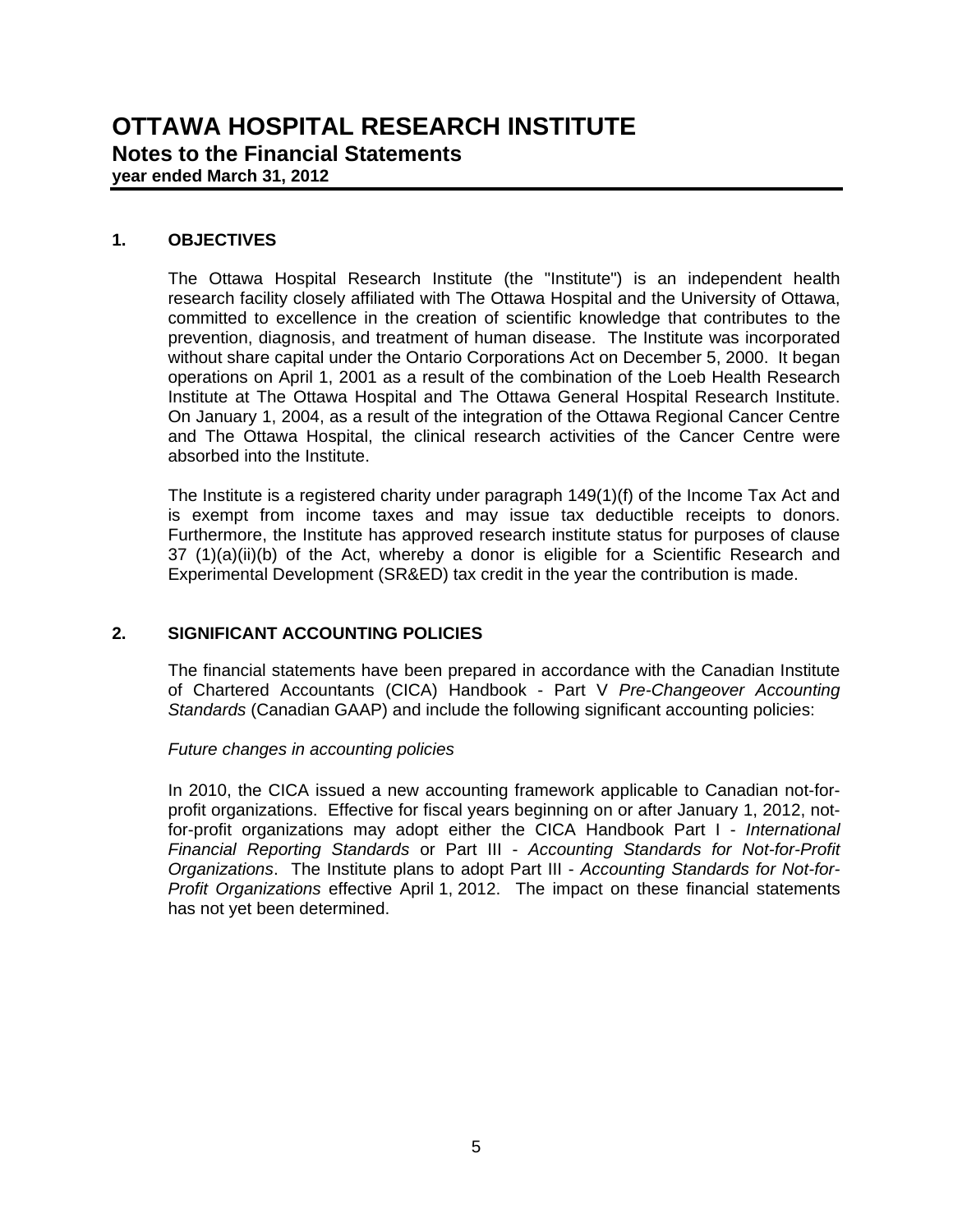## **1. OBJECTIVES**

 The Ottawa Hospital Research Institute (the "Institute") is an independent health research facility closely affiliated with The Ottawa Hospital and the University of Ottawa, committed to excellence in the creation of scientific knowledge that contributes to the prevention, diagnosis, and treatment of human disease. The Institute was incorporated without share capital under the Ontario Corporations Act on December 5, 2000. It began operations on April 1, 2001 as a result of the combination of the Loeb Health Research Institute at The Ottawa Hospital and The Ottawa General Hospital Research Institute. On January 1, 2004, as a result of the integration of the Ottawa Regional Cancer Centre and The Ottawa Hospital, the clinical research activities of the Cancer Centre were absorbed into the Institute.

 The Institute is a registered charity under paragraph 149(1)(f) of the Income Tax Act and is exempt from income taxes and may issue tax deductible receipts to donors. Furthermore, the Institute has approved research institute status for purposes of clause 37 (1)(a)(ii)(b) of the Act, whereby a donor is eligible for a Scientific Research and Experimental Development (SR&ED) tax credit in the year the contribution is made.

# **2. SIGNIFICANT ACCOUNTING POLICIES**

The financial statements have been prepared in accordance with the Canadian Institute of Chartered Accountants (CICA) Handbook - Part V *Pre-Changeover Accounting Standards* (Canadian GAAP) and include the following significant accounting policies:

#### *Future changes in accounting policies*

In 2010, the CICA issued a new accounting framework applicable to Canadian not-forprofit organizations. Effective for fiscal years beginning on or after January 1, 2012, notfor-profit organizations may adopt either the CICA Handbook Part I - *International Financial Reporting Standards* or Part III - *Accounting Standards for Not-for-Profit Organizations*. The Institute plans to adopt Part III - *Accounting Standards for Not-for-Profit Organizations* effective April 1, 2012. The impact on these financial statements has not yet been determined.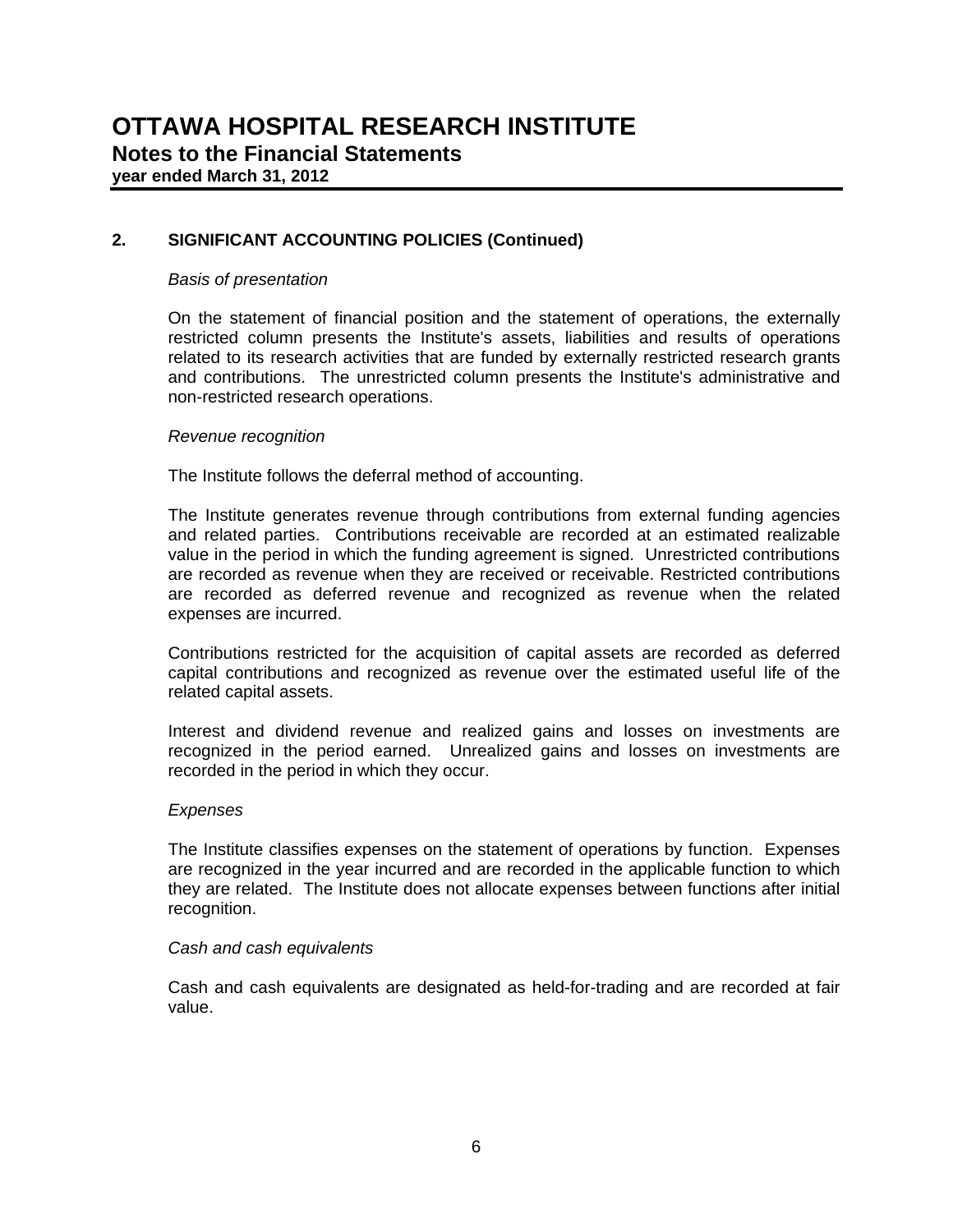# **2. SIGNIFICANT ACCOUNTING POLICIES (Continued)**

#### *Basis of presentation*

On the statement of financial position and the statement of operations, the externally restricted column presents the Institute's assets, liabilities and results of operations related to its research activities that are funded by externally restricted research grants and contributions. The unrestricted column presents the Institute's administrative and non-restricted research operations.

#### *Revenue recognition*

The Institute follows the deferral method of accounting.

The Institute generates revenue through contributions from external funding agencies and related parties. Contributions receivable are recorded at an estimated realizable value in the period in which the funding agreement is signed. Unrestricted contributions are recorded as revenue when they are received or receivable. Restricted contributions are recorded as deferred revenue and recognized as revenue when the related expenses are incurred.

Contributions restricted for the acquisition of capital assets are recorded as deferred capital contributions and recognized as revenue over the estimated useful life of the related capital assets.

Interest and dividend revenue and realized gains and losses on investments are recognized in the period earned. Unrealized gains and losses on investments are recorded in the period in which they occur.

#### *Expenses*

The Institute classifies expenses on the statement of operations by function. Expenses are recognized in the year incurred and are recorded in the applicable function to which they are related. The Institute does not allocate expenses between functions after initial recognition.

#### *Cash and cash equivalents*

Cash and cash equivalents are designated as held-for-trading and are recorded at fair value.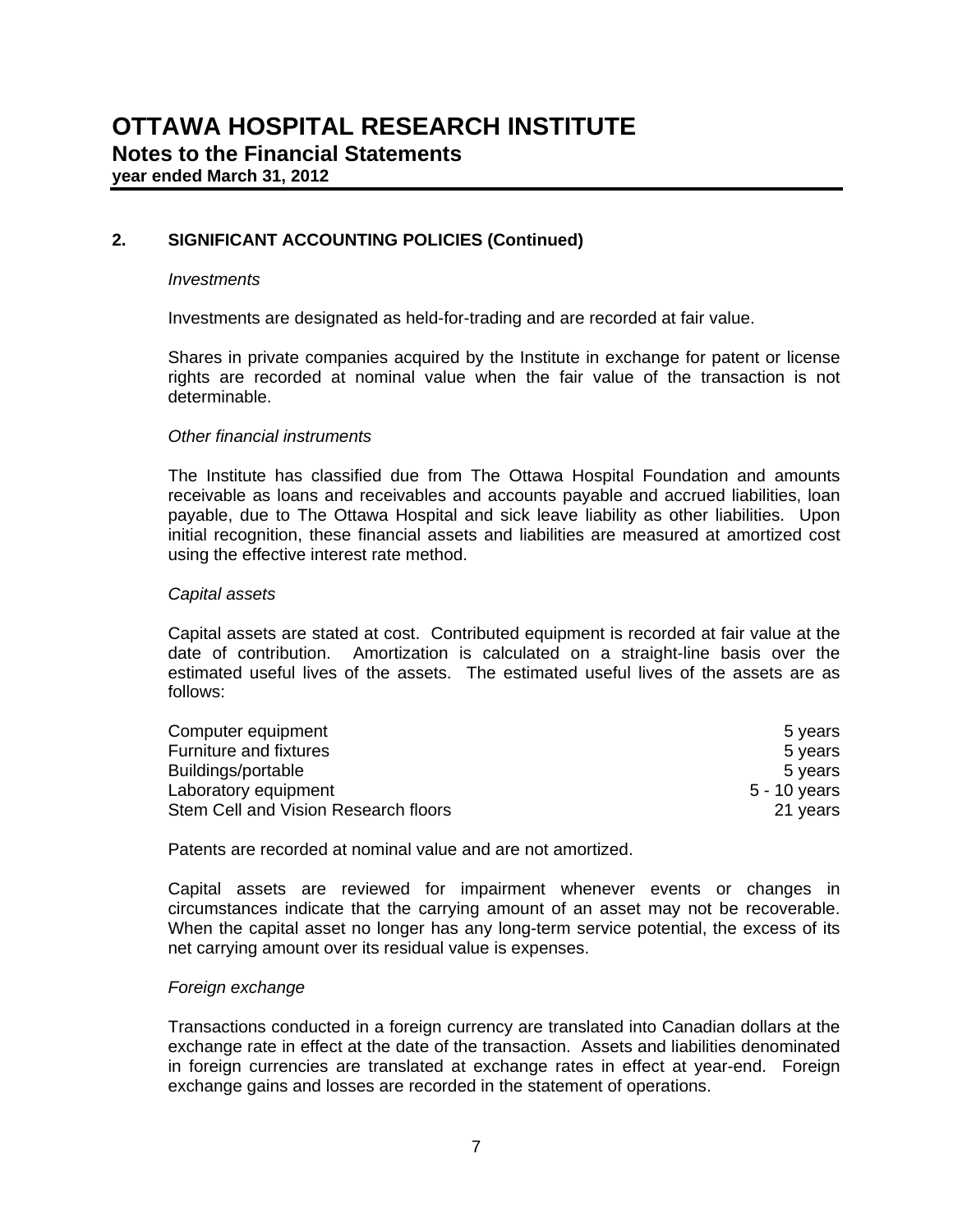## **2. SIGNIFICANT ACCOUNTING POLICIES (Continued)**

#### *Investments*

Investments are designated as held-for-trading and are recorded at fair value.

Shares in private companies acquired by the Institute in exchange for patent or license rights are recorded at nominal value when the fair value of the transaction is not determinable.

#### *Other financial instruments*

The Institute has classified due from The Ottawa Hospital Foundation and amounts receivable as loans and receivables and accounts payable and accrued liabilities, loan payable, due to The Ottawa Hospital and sick leave liability as other liabilities. Upon initial recognition, these financial assets and liabilities are measured at amortized cost using the effective interest rate method.

#### *Capital assets*

Capital assets are stated at cost. Contributed equipment is recorded at fair value at the date of contribution. Amortization is calculated on a straight-line basis over the estimated useful lives of the assets. The estimated useful lives of the assets are as follows:

| Computer equipment                   | 5 years        |
|--------------------------------------|----------------|
| Furniture and fixtures               | 5 years        |
| Buildings/portable                   | 5 years        |
| Laboratory equipment                 | $5 - 10$ years |
| Stem Cell and Vision Research floors | 21 years       |

Patents are recorded at nominal value and are not amortized.

Capital assets are reviewed for impairment whenever events or changes in circumstances indicate that the carrying amount of an asset may not be recoverable. When the capital asset no longer has any long-term service potential, the excess of its net carrying amount over its residual value is expenses.

#### *Foreign exchange*

Transactions conducted in a foreign currency are translated into Canadian dollars at the exchange rate in effect at the date of the transaction. Assets and liabilities denominated in foreign currencies are translated at exchange rates in effect at year-end. Foreign exchange gains and losses are recorded in the statement of operations.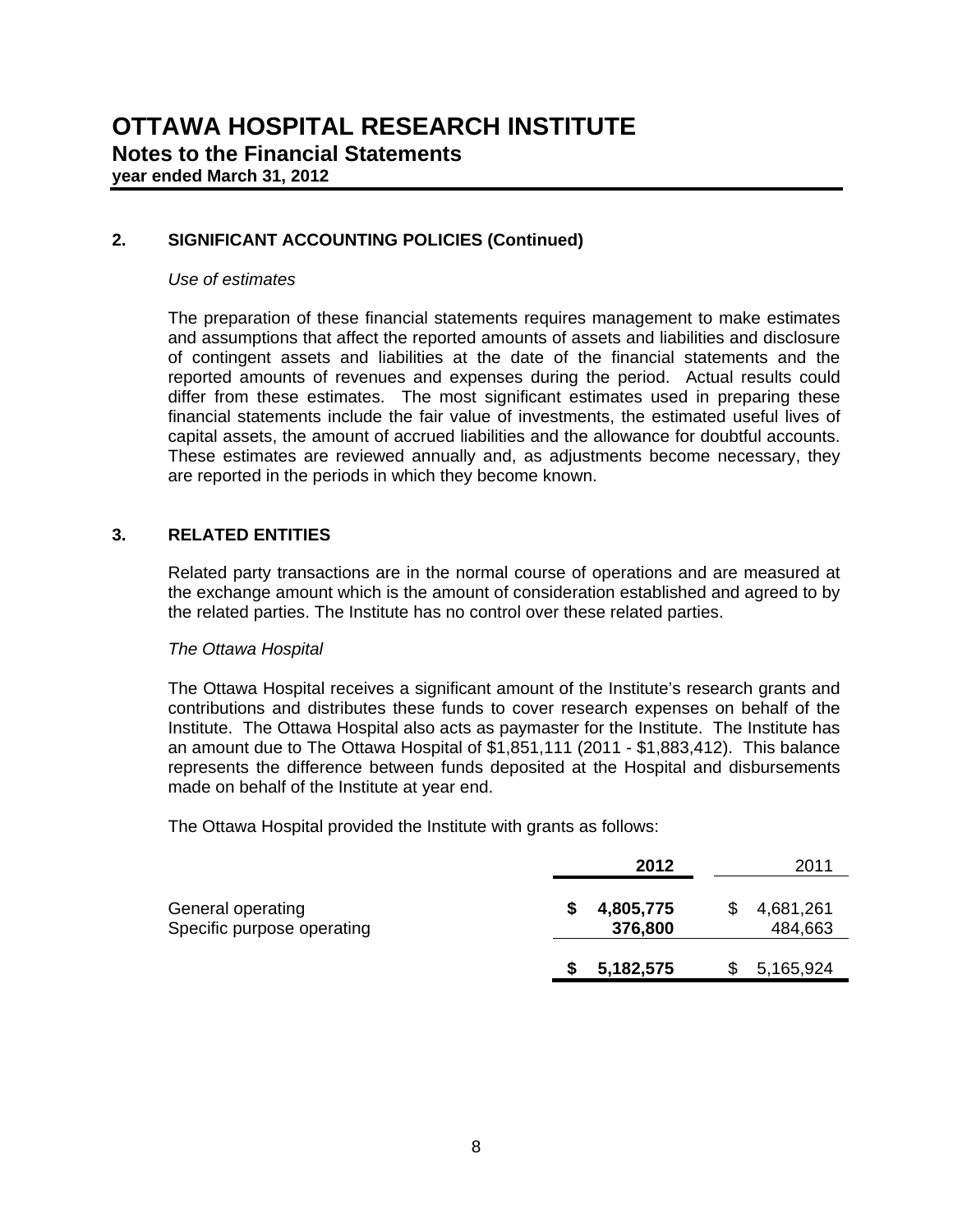# **2. SIGNIFICANT ACCOUNTING POLICIES (Continued)**

#### *Use of estimates*

The preparation of these financial statements requires management to make estimates and assumptions that affect the reported amounts of assets and liabilities and disclosure of contingent assets and liabilities at the date of the financial statements and the reported amounts of revenues and expenses during the period. Actual results could differ from these estimates. The most significant estimates used in preparing these financial statements include the fair value of investments, the estimated useful lives of capital assets, the amount of accrued liabilities and the allowance for doubtful accounts. These estimates are reviewed annually and, as adjustments become necessary, they are reported in the periods in which they become known.

# **3. RELATED ENTITIES**

Related party transactions are in the normal course of operations and are measured at the exchange amount which is the amount of consideration established and agreed to by the related parties. The Institute has no control over these related parties.

#### *The Ottawa Hospital*

 The Ottawa Hospital receives a significant amount of the Institute's research grants and contributions and distributes these funds to cover research expenses on behalf of the Institute. The Ottawa Hospital also acts as paymaster for the Institute. The Institute has an amount due to The Ottawa Hospital of \$1,851,111 (2011 - \$1,883,412). This balance represents the difference between funds deposited at the Hospital and disbursements made on behalf of the Institute at year end.

The Ottawa Hospital provided the Institute with grants as follows:

|                                                 | 2012                 | 2011                 |
|-------------------------------------------------|----------------------|----------------------|
| General operating<br>Specific purpose operating | 4,805,775<br>376,800 | 4,681,261<br>484,663 |
|                                                 | 5,182,575            | 5,165,924            |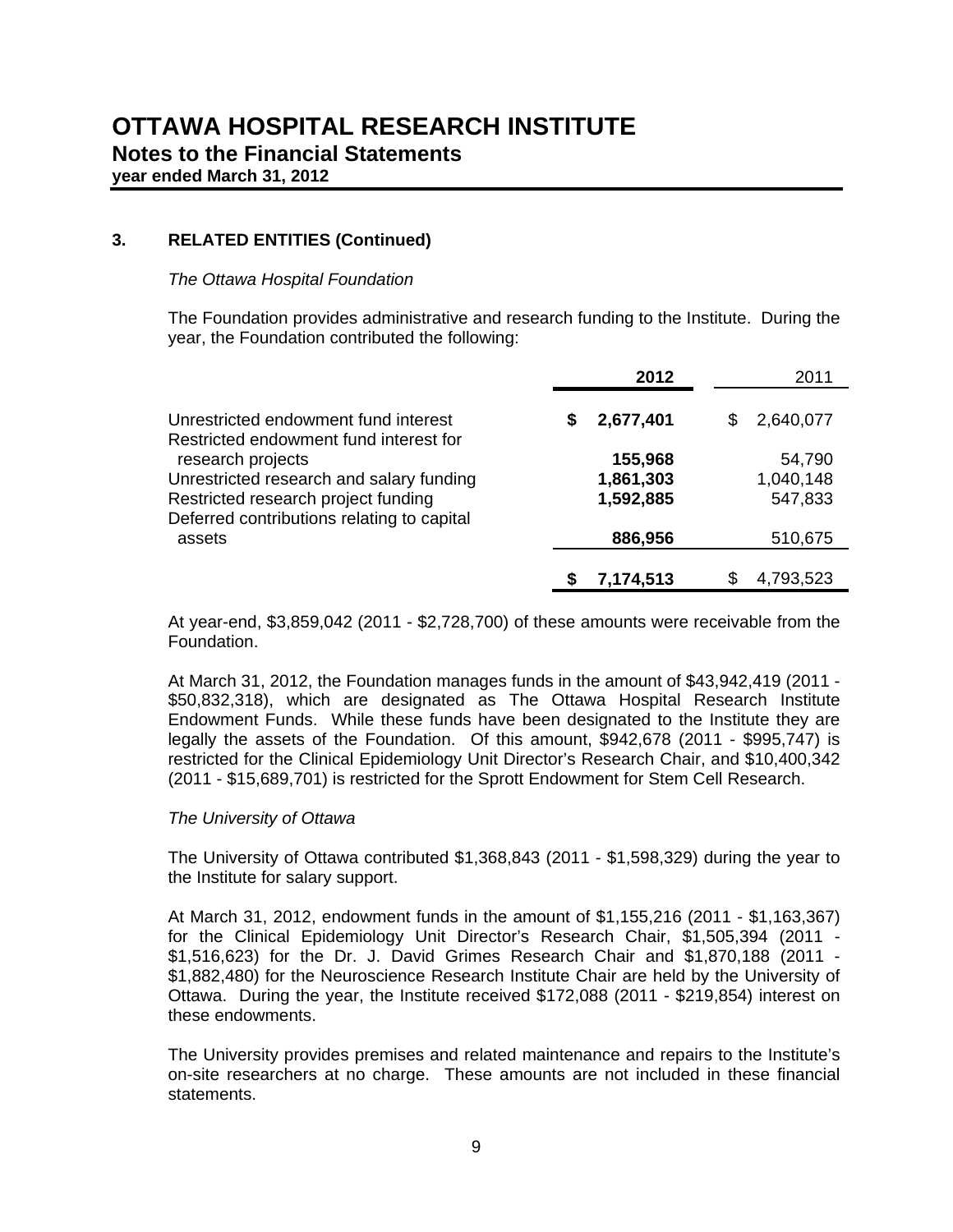# **3. RELATED ENTITIES (Continued)**

#### *The Ottawa Hospital Foundation*

 The Foundation provides administrative and research funding to the Institute. During the year, the Foundation contributed the following:

|                                                                                   | 2012      | 2011           |
|-----------------------------------------------------------------------------------|-----------|----------------|
| Unrestricted endowment fund interest<br>Restricted endowment fund interest for    | 2,677,401 | 2,640,077<br>S |
| research projects                                                                 | 155,968   | 54,790         |
| Unrestricted research and salary funding                                          | 1,861,303 | 1,040,148      |
| Restricted research project funding<br>Deferred contributions relating to capital | 1,592,885 | 547,833        |
| assets                                                                            | 886,956   | 510,675        |
|                                                                                   | 7,174,513 | 4,793,523      |

At year-end, \$3,859,042 (2011 - \$2,728,700) of these amounts were receivable from the Foundation.

 At March 31, 2012, the Foundation manages funds in the amount of \$43,942,419 (2011 - \$50,832,318), which are designated as The Ottawa Hospital Research Institute Endowment Funds. While these funds have been designated to the Institute they are legally the assets of the Foundation. Of this amount, \$942,678 (2011 - \$995,747) is restricted for the Clinical Epidemiology Unit Director's Research Chair, and \$10,400,342 (2011 - \$15,689,701) is restricted for the Sprott Endowment for Stem Cell Research.

#### *The University of Ottawa*

 The University of Ottawa contributed \$1,368,843 (2011 - \$1,598,329) during the year to the Institute for salary support.

 At March 31, 2012, endowment funds in the amount of \$1,155,216 (2011 - \$1,163,367) for the Clinical Epidemiology Unit Director's Research Chair, \$1,505,394 (2011 - \$1,516,623) for the Dr. J. David Grimes Research Chair and \$1,870,188 (2011 - \$1,882,480) for the Neuroscience Research Institute Chair are held by the University of Ottawa. During the year, the Institute received \$172,088 (2011 - \$219,854) interest on these endowments.

 The University provides premises and related maintenance and repairs to the Institute's on-site researchers at no charge. These amounts are not included in these financial statements.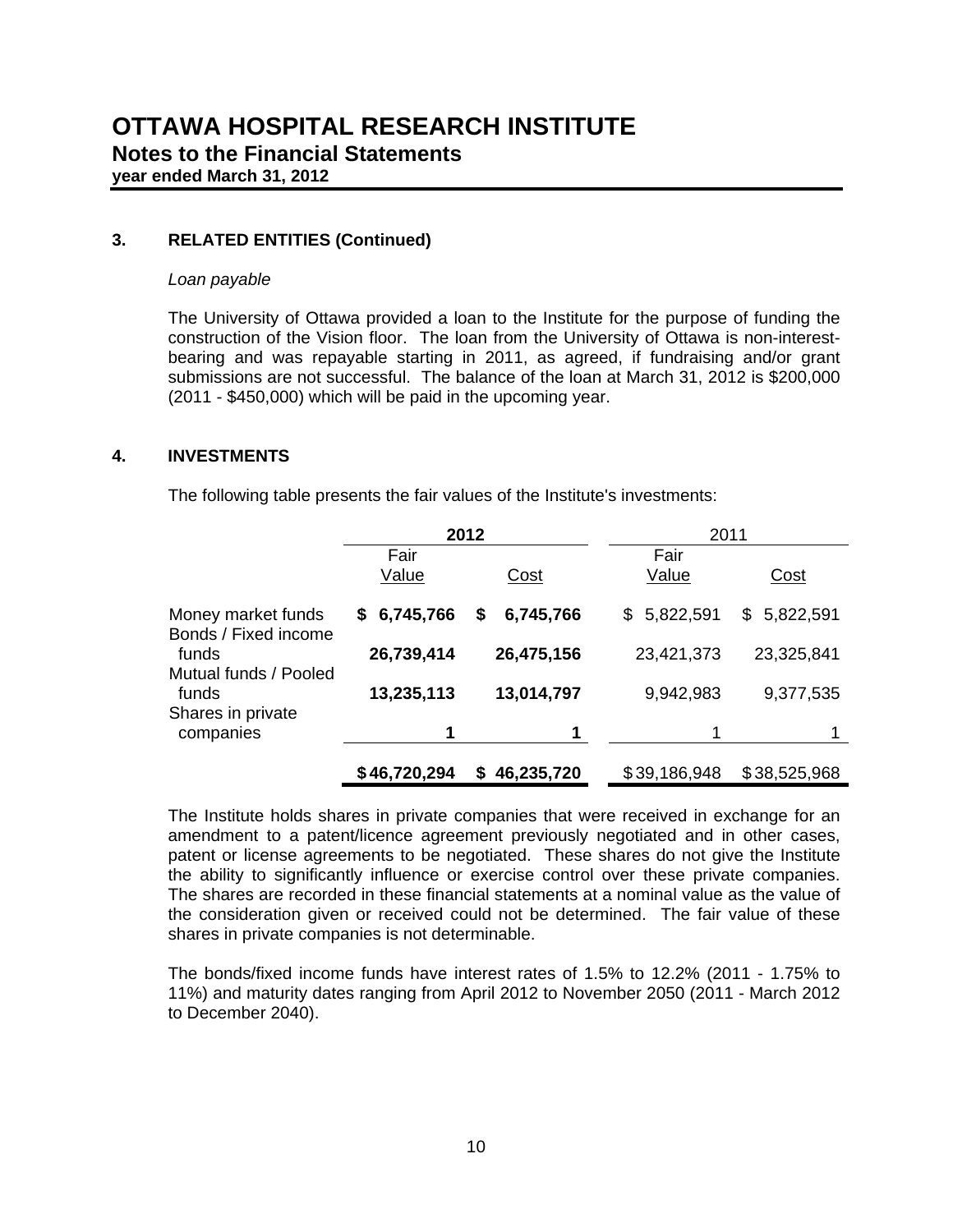# **3. RELATED ENTITIES (Continued)**

#### *Loan payable*

The University of Ottawa provided a loan to the Institute for the purpose of funding the construction of the Vision floor. The loan from the University of Ottawa is non-interestbearing and was repayable starting in 2011, as agreed, if fundraising and/or grant submissions are not successful. The balance of the loan at March 31, 2012 is \$200,000 (2011 - \$450,000) which will be paid in the upcoming year.

#### **4. INVESTMENTS**

The following table presents the fair values of the Institute's investments:

|                                            | 2012                 |                | 2011          |                 |
|--------------------------------------------|----------------------|----------------|---------------|-----------------|
|                                            | Fair<br><b>Value</b> | <u>Cost</u>    | Fair<br>Value | Cost            |
| Money market funds<br>Bonds / Fixed income | \$6,745,766          | 6,745,766<br>S | \$5,822,591   | 5,822,591<br>\$ |
| funds<br>Mutual funds / Pooled             | 26,739,414           | 26,475,156     | 23,421,373    | 23,325,841      |
| funds<br>Shares in private                 | 13,235,113           | 13,014,797     | 9,942,983     | 9,377,535       |
| companies                                  | 1                    | 1              |               |                 |
|                                            | \$46,720,294         | 46,235,720     | \$39,186,948  | \$38,525,968    |

The Institute holds shares in private companies that were received in exchange for an amendment to a patent/licence agreement previously negotiated and in other cases, patent or license agreements to be negotiated. These shares do not give the Institute the ability to significantly influence or exercise control over these private companies. The shares are recorded in these financial statements at a nominal value as the value of the consideration given or received could not be determined. The fair value of these shares in private companies is not determinable.

The bonds/fixed income funds have interest rates of 1.5% to 12.2% (2011 - 1.75% to 11%) and maturity dates ranging from April 2012 to November 2050 (2011 - March 2012 to December 2040).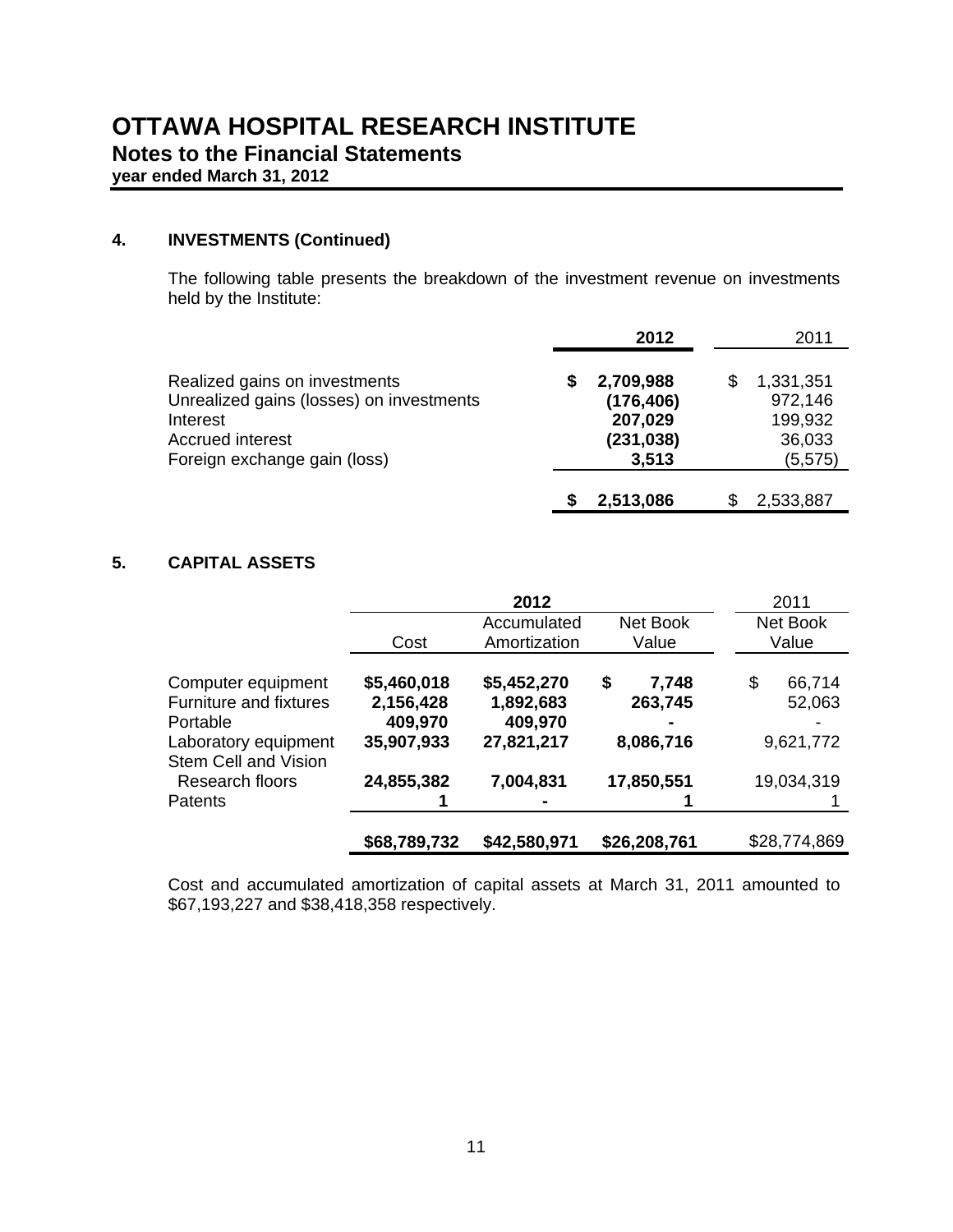# **4. INVESTMENTS (Continued)**

The following table presents the breakdown of the investment revenue on investments held by the Institute:

|                                                                                                                                                  | 2011<br>2012                                                                                                            |
|--------------------------------------------------------------------------------------------------------------------------------------------------|-------------------------------------------------------------------------------------------------------------------------|
| Realized gains on investments<br>Unrealized gains (losses) on investments<br>Interest<br><b>Accrued interest</b><br>Foreign exchange gain (loss) | 2,709,988<br>1,331,351<br>S<br>(176, 406)<br>972,146<br>199,932<br>207,029<br>(231, 038)<br>36,033<br>(5, 575)<br>3,513 |
|                                                                                                                                                  | 2,533,887<br>2,513,086                                                                                                  |

# **5. CAPITAL ASSETS**

|                                                                                                                        |                                                   | 2012                                              |                                     | 2011                                |
|------------------------------------------------------------------------------------------------------------------------|---------------------------------------------------|---------------------------------------------------|-------------------------------------|-------------------------------------|
|                                                                                                                        | Cost                                              | Accumulated<br>Amortization                       | Net Book<br>Value                   | Net Book<br>Value                   |
| Computer equipment<br><b>Furniture and fixtures</b><br>Portable<br>Laboratory equipment<br><b>Stem Cell and Vision</b> | \$5,460,018<br>2,156,428<br>409,970<br>35,907,933 | \$5,452,270<br>1,892,683<br>409,970<br>27,821,217 | \$<br>7,748<br>263,745<br>8,086,716 | \$<br>66,714<br>52,063<br>9,621,772 |
| Research floors<br>Patents                                                                                             | 24,855,382                                        | 7,004,831                                         | 17,850,551                          | 19,034,319                          |
|                                                                                                                        | \$68,789,732                                      | \$42,580,971                                      | \$26,208,761                        | \$28,774,869                        |

Cost and accumulated amortization of capital assets at March 31, 2011 amounted to \$67,193,227 and \$38,418,358 respectively.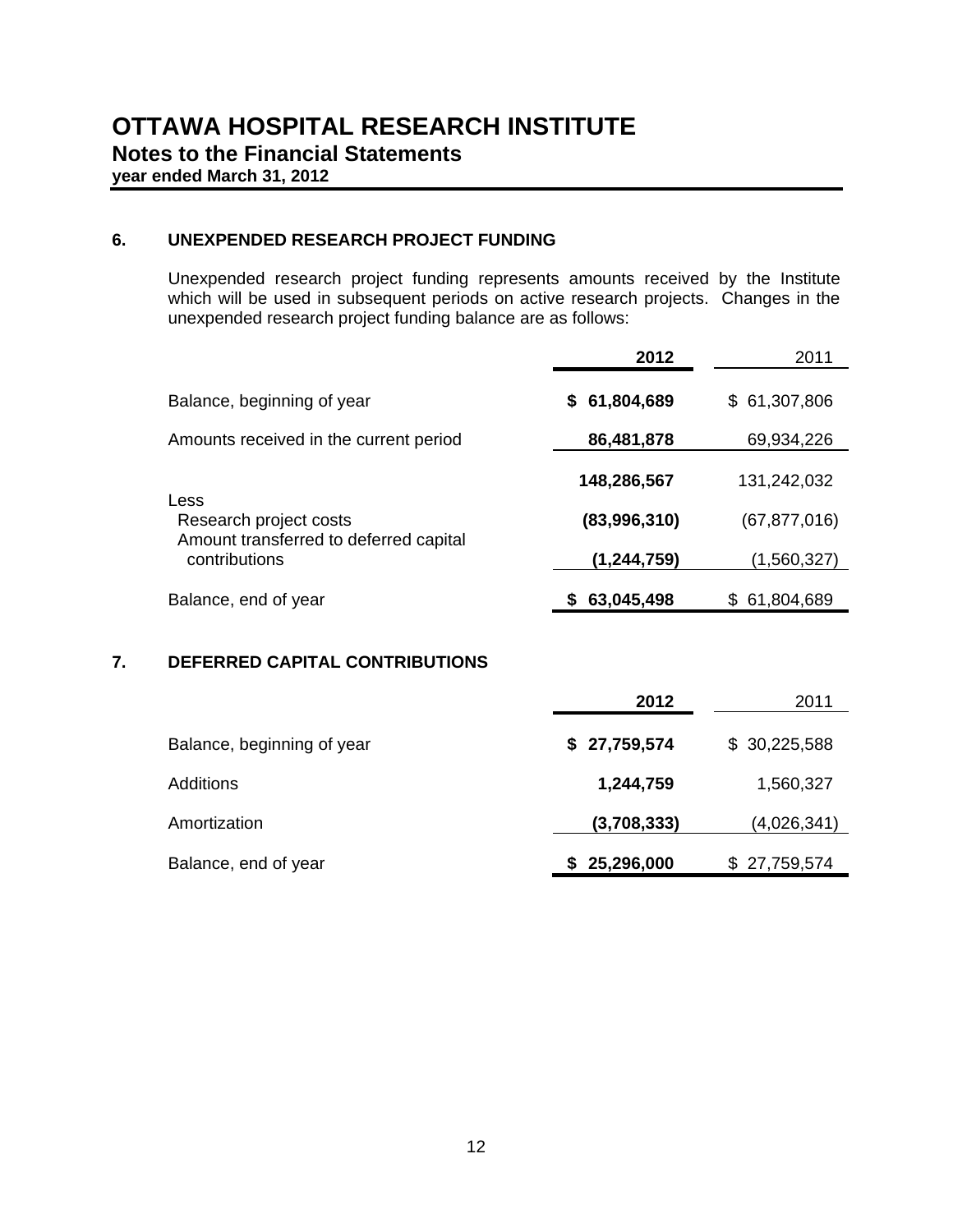# **6. UNEXPENDED RESEARCH PROJECT FUNDING**

Unexpended research project funding represents amounts received by the Institute which will be used in subsequent periods on active research projects. Changes in the unexpended research project funding balance are as follows:

|                                                                                   | 2012                        | 2011                          |
|-----------------------------------------------------------------------------------|-----------------------------|-------------------------------|
| Balance, beginning of year                                                        | 61,804,689<br>S.            | \$61,307,806                  |
| Amounts received in the current period                                            | 86,481,878                  | 69,934,226                    |
| Less                                                                              | 148,286,567                 | 131,242,032                   |
| Research project costs<br>Amount transferred to deferred capital<br>contributions | (83,996,310)<br>(1,244,759) | (67, 877, 016)<br>(1,560,327) |
| Balance, end of year                                                              | 63,045,498                  | 61,804,689                    |

# **7. DEFERRED CAPITAL CONTRIBUTIONS**

|                            | 2012         | 2011         |
|----------------------------|--------------|--------------|
| Balance, beginning of year | \$27,759,574 | \$30,225,588 |
| Additions                  | 1,244,759    | 1,560,327    |
| Amortization               | (3,708,333)  | (4,026,341)  |
| Balance, end of year       | 25,296,000   | \$27,759,574 |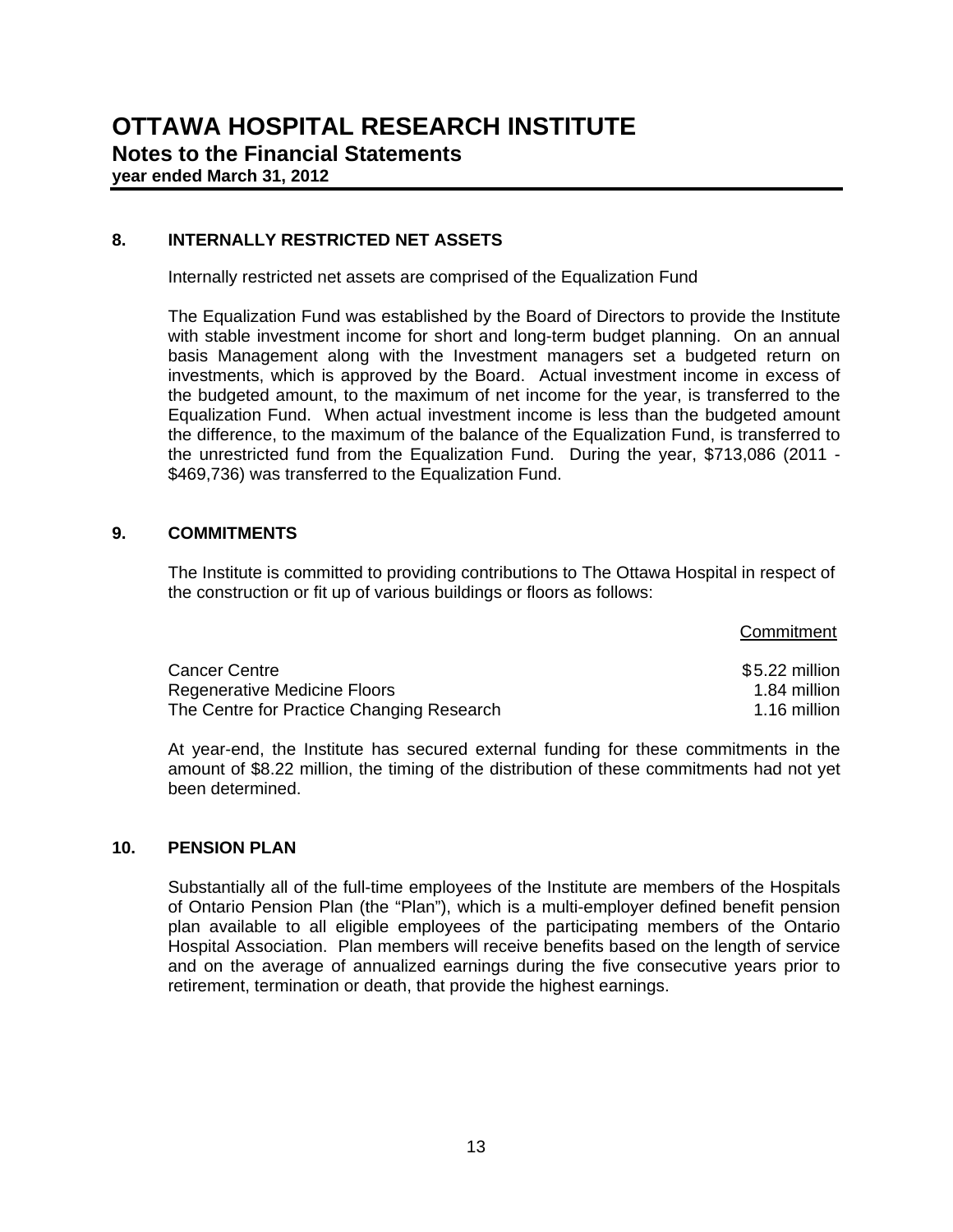# **8. INTERNALLY RESTRICTED NET ASSETS**

Internally restricted net assets are comprised of the Equalization Fund

The Equalization Fund was established by the Board of Directors to provide the Institute with stable investment income for short and long-term budget planning. On an annual basis Management along with the Investment managers set a budgeted return on investments, which is approved by the Board. Actual investment income in excess of the budgeted amount, to the maximum of net income for the year, is transferred to the Equalization Fund. When actual investment income is less than the budgeted amount the difference, to the maximum of the balance of the Equalization Fund, is transferred to the unrestricted fund from the Equalization Fund. During the year, \$713,086 (2011 - \$469,736) was transferred to the Equalization Fund.

## **9. COMMITMENTS**

 The Institute is committed to providing contributions to The Ottawa Hospital in respect of the construction or fit up of various buildings or floors as follows:

|                                           | Commitment      |
|-------------------------------------------|-----------------|
| <b>Cancer Centre</b>                      | $$5.22$ million |
| Regenerative Medicine Floors              | 1.84 million    |
| The Centre for Practice Changing Research | 1.16 million    |

 At year-end, the Institute has secured external funding for these commitments in the amount of \$8.22 million, the timing of the distribution of these commitments had not yet been determined.

## **10. PENSION PLAN**

 Substantially all of the full-time employees of the Institute are members of the Hospitals of Ontario Pension Plan (the "Plan"), which is a multi-employer defined benefit pension plan available to all eligible employees of the participating members of the Ontario Hospital Association. Plan members will receive benefits based on the length of service and on the average of annualized earnings during the five consecutive years prior to retirement, termination or death, that provide the highest earnings.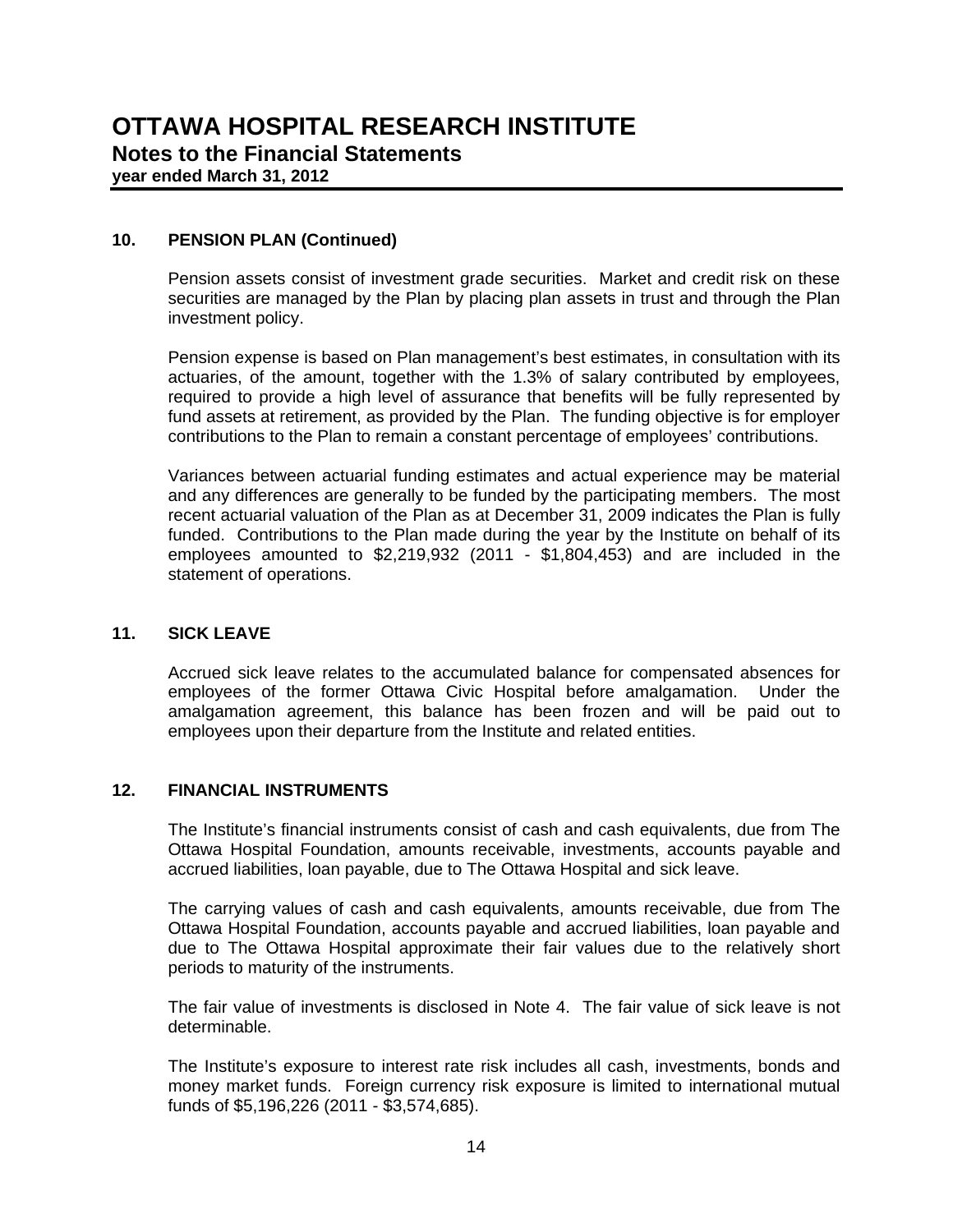# **10. PENSION PLAN (Continued)**

 Pension assets consist of investment grade securities. Market and credit risk on these securities are managed by the Plan by placing plan assets in trust and through the Plan investment policy.

 Pension expense is based on Plan management's best estimates, in consultation with its actuaries, of the amount, together with the 1.3% of salary contributed by employees, required to provide a high level of assurance that benefits will be fully represented by fund assets at retirement, as provided by the Plan. The funding objective is for employer contributions to the Plan to remain a constant percentage of employees' contributions.

 Variances between actuarial funding estimates and actual experience may be material and any differences are generally to be funded by the participating members. The most recent actuarial valuation of the Plan as at December 31, 2009 indicates the Plan is fully funded. Contributions to the Plan made during the year by the Institute on behalf of its employees amounted to \$2,219,932 (2011 - \$1,804,453) and are included in the statement of operations.

#### **11. SICK LEAVE**

 Accrued sick leave relates to the accumulated balance for compensated absences for employees of the former Ottawa Civic Hospital before amalgamation. Under the amalgamation agreement, this balance has been frozen and will be paid out to employees upon their departure from the Institute and related entities.

## **12. FINANCIAL INSTRUMENTS**

 The Institute's financial instruments consist of cash and cash equivalents, due from The Ottawa Hospital Foundation, amounts receivable, investments, accounts payable and accrued liabilities, loan payable, due to The Ottawa Hospital and sick leave.

 The carrying values of cash and cash equivalents, amounts receivable, due from The Ottawa Hospital Foundation, accounts payable and accrued liabilities, loan payable and due to The Ottawa Hospital approximate their fair values due to the relatively short periods to maturity of the instruments.

 The fair value of investments is disclosed in Note 4. The fair value of sick leave is not determinable.

 The Institute's exposure to interest rate risk includes all cash, investments, bonds and money market funds. Foreign currency risk exposure is limited to international mutual funds of \$5,196,226 (2011 - \$3,574,685).